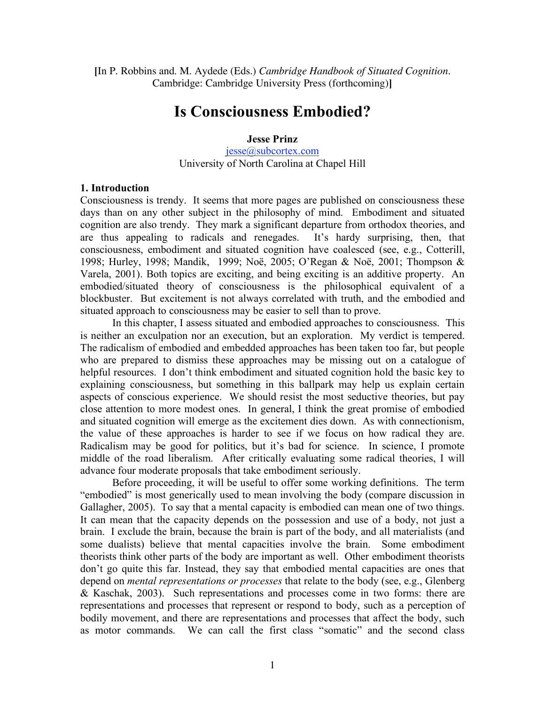**[**In P. Robbins and. M. Aydede (Eds.) *Cambridge Handbook of Situated Cognition*. Cambridge: Cambridge University Press (forthcoming)**]**

# **Is Consciousness Embodied?**

## **Jesse Prinz**

jesse@subcortex.com University of North Carolina at Chapel Hill

## **1. Introduction**

Consciousness is trendy. It seems that more pages are published on consciousness these days than on any other subject in the philosophy of mind. Embodiment and situated cognition are also trendy. They mark a significant departure from orthodox theories, and are thus appealing to radicals and renegades. It's hardy surprising, then, that consciousness, embodiment and situated cognition have coalesced (see, e.g., Cotterill, 1998; Hurley, 1998; Mandik, 1999; Noë, 2005; O'Regan & Noë, 2001; Thompson & Varela, 2001). Both topics are exciting, and being exciting is an additive property. An embodied/situated theory of consciousness is the philosophical equivalent of a blockbuster. But excitement is not always correlated with truth, and the embodied and situated approach to consciousness may be easier to sell than to prove.

In this chapter, I assess situated and embodied approaches to consciousness. This is neither an exculpation nor an execution, but an exploration. My verdict is tempered. The radicalism of embodied and embedded approaches has been taken too far, but people who are prepared to dismiss these approaches may be missing out on a catalogue of helpful resources. I don't think embodiment and situated cognition hold the basic key to explaining consciousness, but something in this ballpark may help us explain certain aspects of conscious experience. We should resist the most seductive theories, but pay close attention to more modest ones. In general, I think the great promise of embodied and situated cognition will emerge as the excitement dies down. As with connectionism, the value of these approaches is harder to see if we focus on how radical they are. Radicalism may be good for politics, but it's bad for science. In science, I promote middle of the road liberalism. After critically evaluating some radical theories, I will advance four moderate proposals that take embodiment seriously.

Before proceeding, it will be useful to offer some working definitions. The term "embodied" is most generically used to mean involving the body (compare discussion in Gallagher, 2005). To say that a mental capacity is embodied can mean one of two things. It can mean that the capacity depends on the possession and use of a body, not just a brain. I exclude the brain, because the brain is part of the body, and all materialists (and some dualists) believe that mental capacities involve the brain. Some embodiment theorists think other parts of the body are important as well. Other embodiment theorists don't go quite this far. Instead, they say that embodied mental capacities are ones that depend on *mental representations or processes* that relate to the body (see, e.g., Glenberg & Kaschak, 2003). Such representations and processes come in two forms: there are representations and processes that represent or respond to body, such as a perception of bodily movement, and there are representations and processes that affect the body, such as motor commands. We can call the first class "somatic" and the second class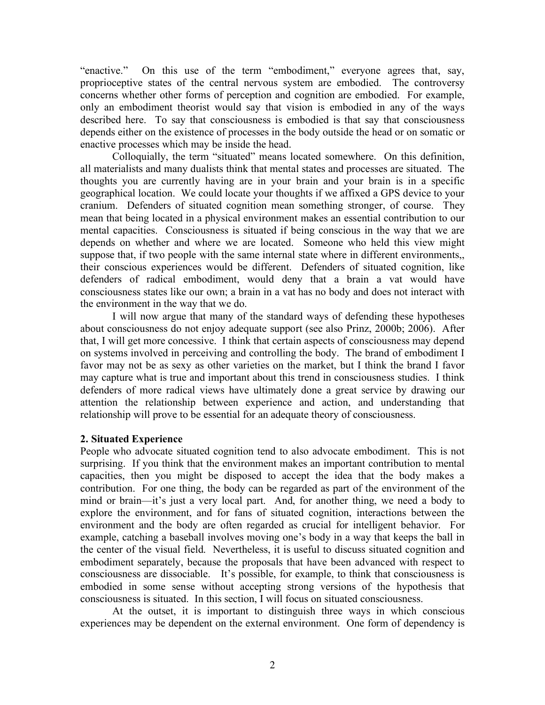"enactive." On this use of the term "embodiment," everyone agrees that, say, proprioceptive states of the central nervous system are embodied. The controversy concerns whether other forms of perception and cognition are embodied. For example, only an embodiment theorist would say that vision is embodied in any of the ways described here. To say that consciousness is embodied is that say that consciousness depends either on the existence of processes in the body outside the head or on somatic or enactive processes which may be inside the head.

Colloquially, the term "situated" means located somewhere. On this definition, all materialists and many dualists think that mental states and processes are situated. The thoughts you are currently having are in your brain and your brain is in a specific geographical location. We could locate your thoughts if we affixed a GPS device to your cranium. Defenders of situated cognition mean something stronger, of course. They mean that being located in a physical environment makes an essential contribution to our mental capacities. Consciousness is situated if being conscious in the way that we are depends on whether and where we are located. Someone who held this view might suppose that, if two people with the same internal state where in different environments,, their conscious experiences would be different. Defenders of situated cognition, like defenders of radical embodiment, would deny that a brain a vat would have consciousness states like our own; a brain in a vat has no body and does not interact with the environment in the way that we do.

I will now argue that many of the standard ways of defending these hypotheses about consciousness do not enjoy adequate support (see also Prinz, 2000b; 2006). After that, I will get more concessive. I think that certain aspects of consciousness may depend on systems involved in perceiving and controlling the body. The brand of embodiment I favor may not be as sexy as other varieties on the market, but I think the brand I favor may capture what is true and important about this trend in consciousness studies. I think defenders of more radical views have ultimately done a great service by drawing our attention the relationship between experience and action, and understanding that relationship will prove to be essential for an adequate theory of consciousness.

#### **2. Situated Experience**

People who advocate situated cognition tend to also advocate embodiment. This is not surprising. If you think that the environment makes an important contribution to mental capacities, then you might be disposed to accept the idea that the body makes a contribution. For one thing, the body can be regarded as part of the environment of the mind or brain—it's just a very local part. And, for another thing, we need a body to explore the environment, and for fans of situated cognition, interactions between the environment and the body are often regarded as crucial for intelligent behavior. For example, catching a baseball involves moving one's body in a way that keeps the ball in the center of the visual field. Nevertheless, it is useful to discuss situated cognition and embodiment separately, because the proposals that have been advanced with respect to consciousness are dissociable. It's possible, for example, to think that consciousness is embodied in some sense without accepting strong versions of the hypothesis that consciousness is situated. In this section, I will focus on situated consciousness.

At the outset, it is important to distinguish three ways in which conscious experiences may be dependent on the external environment. One form of dependency is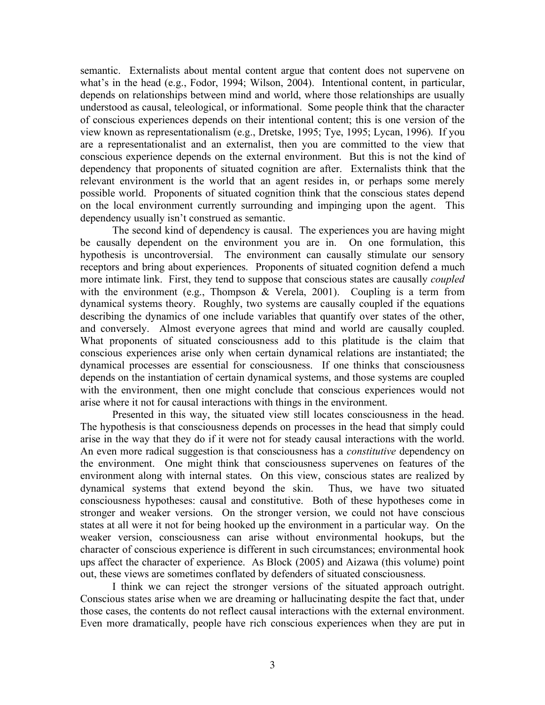semantic. Externalists about mental content argue that content does not supervene on what's in the head (e.g., Fodor, 1994; Wilson, 2004). Intentional content, in particular, depends on relationships between mind and world, where those relationships are usually understood as causal, teleological, or informational. Some people think that the character of conscious experiences depends on their intentional content; this is one version of the view known as representationalism (e.g., Dretske, 1995; Tye, 1995; Lycan, 1996). If you are a representationalist and an externalist, then you are committed to the view that conscious experience depends on the external environment. But this is not the kind of dependency that proponents of situated cognition are after. Externalists think that the relevant environment is the world that an agent resides in, or perhaps some merely possible world. Proponents of situated cognition think that the conscious states depend on the local environment currently surrounding and impinging upon the agent. This dependency usually isn't construed as semantic.

The second kind of dependency is causal. The experiences you are having might be causally dependent on the environment you are in. On one formulation, this hypothesis is uncontroversial. The environment can causally stimulate our sensory receptors and bring about experiences. Proponents of situated cognition defend a much more intimate link. First, they tend to suppose that conscious states are causally *coupled* with the environment (e.g., Thompson  $&$  Verela, 2001). Coupling is a term from dynamical systems theory. Roughly, two systems are causally coupled if the equations describing the dynamics of one include variables that quantify over states of the other, and conversely. Almost everyone agrees that mind and world are causally coupled. What proponents of situated consciousness add to this platitude is the claim that conscious experiences arise only when certain dynamical relations are instantiated; the dynamical processes are essential for consciousness. If one thinks that consciousness depends on the instantiation of certain dynamical systems, and those systems are coupled with the environment, then one might conclude that conscious experiences would not arise where it not for causal interactions with things in the environment.

Presented in this way, the situated view still locates consciousness in the head. The hypothesis is that consciousness depends on processes in the head that simply could arise in the way that they do if it were not for steady causal interactions with the world. An even more radical suggestion is that consciousness has a *constitutive* dependency on the environment. One might think that consciousness supervenes on features of the environment along with internal states. On this view, conscious states are realized by dynamical systems that extend beyond the skin. Thus, we have two situated consciousness hypotheses: causal and constitutive. Both of these hypotheses come in stronger and weaker versions. On the stronger version, we could not have conscious states at all were it not for being hooked up the environment in a particular way. On the weaker version, consciousness can arise without environmental hookups, but the character of conscious experience is different in such circumstances; environmental hook ups affect the character of experience. As Block (2005) and Aizawa (this volume) point out, these views are sometimes conflated by defenders of situated consciousness.

I think we can reject the stronger versions of the situated approach outright. Conscious states arise when we are dreaming or hallucinating despite the fact that, under those cases, the contents do not reflect causal interactions with the external environment. Even more dramatically, people have rich conscious experiences when they are put in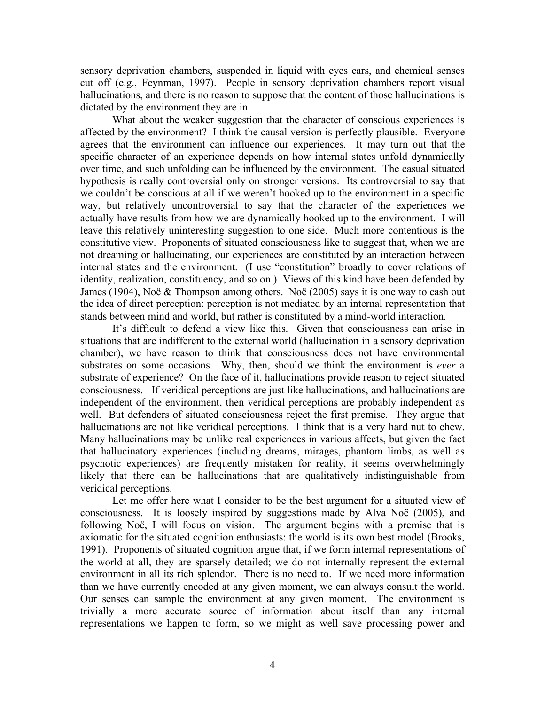sensory deprivation chambers, suspended in liquid with eyes ears, and chemical senses cut off (e.g., Feynman, 1997). People in sensory deprivation chambers report visual hallucinations, and there is no reason to suppose that the content of those hallucinations is dictated by the environment they are in.

What about the weaker suggestion that the character of conscious experiences is affected by the environment? I think the causal version is perfectly plausible. Everyone agrees that the environment can influence our experiences. It may turn out that the specific character of an experience depends on how internal states unfold dynamically over time, and such unfolding can be influenced by the environment. The casual situated hypothesis is really controversial only on stronger versions. Its controversial to say that we couldn't be conscious at all if we weren't hooked up to the environment in a specific way, but relatively uncontroversial to say that the character of the experiences we actually have results from how we are dynamically hooked up to the environment. I will leave this relatively uninteresting suggestion to one side. Much more contentious is the constitutive view. Proponents of situated consciousness like to suggest that, when we are not dreaming or hallucinating, our experiences are constituted by an interaction between internal states and the environment. (I use "constitution" broadly to cover relations of identity, realization, constituency, and so on.) Views of this kind have been defended by James (1904), Noë & Thompson among others. Noë (2005) says it is one way to cash out the idea of direct perception: perception is not mediated by an internal representation that stands between mind and world, but rather is constituted by a mind-world interaction.

It's difficult to defend a view like this. Given that consciousness can arise in situations that are indifferent to the external world (hallucination in a sensory deprivation chamber), we have reason to think that consciousness does not have environmental substrates on some occasions. Why, then, should we think the environment is *ever* a substrate of experience? On the face of it, hallucinations provide reason to reject situated consciousness. If veridical perceptions are just like hallucinations, and hallucinations are independent of the environment, then veridical perceptions are probably independent as well. But defenders of situated consciousness reject the first premise. They argue that hallucinations are not like veridical perceptions. I think that is a very hard nut to chew. Many hallucinations may be unlike real experiences in various affects, but given the fact that hallucinatory experiences (including dreams, mirages, phantom limbs, as well as psychotic experiences) are frequently mistaken for reality, it seems overwhelmingly likely that there can be hallucinations that are qualitatively indistinguishable from veridical perceptions.

Let me offer here what I consider to be the best argument for a situated view of consciousness. It is loosely inspired by suggestions made by Alva Noë (2005), and following Noë, I will focus on vision. The argument begins with a premise that is axiomatic for the situated cognition enthusiasts: the world is its own best model (Brooks, 1991). Proponents of situated cognition argue that, if we form internal representations of the world at all, they are sparsely detailed; we do not internally represent the external environment in all its rich splendor. There is no need to. If we need more information than we have currently encoded at any given moment, we can always consult the world. Our senses can sample the environment at any given moment. The environment is trivially a more accurate source of information about itself than any internal representations we happen to form, so we might as well save processing power and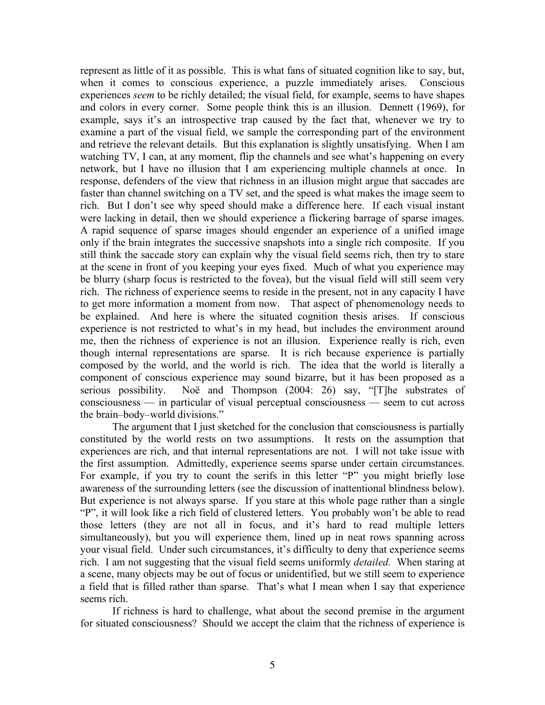represent as little of it as possible. This is what fans of situated cognition like to say, but, when it comes to conscious experience, a puzzle immediately arises. Conscious experiences *seem* to be richly detailed; the visual field, for example, seems to have shapes and colors in every corner. Some people think this is an illusion. Dennett (1969), for example, says it's an introspective trap caused by the fact that, whenever we try to examine a part of the visual field, we sample the corresponding part of the environment and retrieve the relevant details. But this explanation is slightly unsatisfying. When I am watching TV, I can, at any moment, flip the channels and see what's happening on every network, but I have no illusion that I am experiencing multiple channels at once. In response, defenders of the view that richness in an illusion might argue that saccades are faster than channel switching on a TV set, and the speed is what makes the image seem to rich. But I don't see why speed should make a difference here. If each visual instant were lacking in detail, then we should experience a flickering barrage of sparse images. A rapid sequence of sparse images should engender an experience of a unified image only if the brain integrates the successive snapshots into a single rich composite. If you still think the saccade story can explain why the visual field seems rich, then try to stare at the scene in front of you keeping your eyes fixed. Much of what you experience may be blurry (sharp focus is restricted to the fovea), but the visual field will still seem very rich. The richness of experience seems to reside in the present, not in any capacity I have to get more information a moment from now. That aspect of phenomenology needs to be explained. And here is where the situated cognition thesis arises. If conscious experience is not restricted to what's in my head, but includes the environment around me, then the richness of experience is not an illusion. Experience really is rich, even though internal representations are sparse. It is rich because experience is partially composed by the world, and the world is rich. The idea that the world is literally a component of conscious experience may sound bizarre, but it has been proposed as a serious possibility. Noë and Thompson (2004: 26) say, "[T]he substrates of consciousness — in particular of visual perceptual consciousness — seem to cut across the brain–body–world divisions."

The argument that I just sketched for the conclusion that consciousness is partially constituted by the world rests on two assumptions. It rests on the assumption that experiences are rich, and that internal representations are not. I will not take issue with the first assumption. Admittedly, experience seems sparse under certain circumstances. For example, if you try to count the serifs in this letter "P" you might briefly lose awareness of the surrounding letters (see the discussion of inattentional blindness below). But experience is not always sparse. If you stare at this whole page rather than a single "P", it will look like a rich field of clustered letters. You probably won't be able to read those letters (they are not all in focus, and it's hard to read multiple letters simultaneously), but you will experience them, lined up in neat rows spanning across your visual field. Under such circumstances, it's difficulty to deny that experience seems rich. I am not suggesting that the visual field seems uniformly *detailed*. When staring at a scene, many objects may be out of focus or unidentified, but we still seem to experience a field that is filled rather than sparse. That's what I mean when I say that experience seems rich.

If richness is hard to challenge, what about the second premise in the argument for situated consciousness? Should we accept the claim that the richness of experience is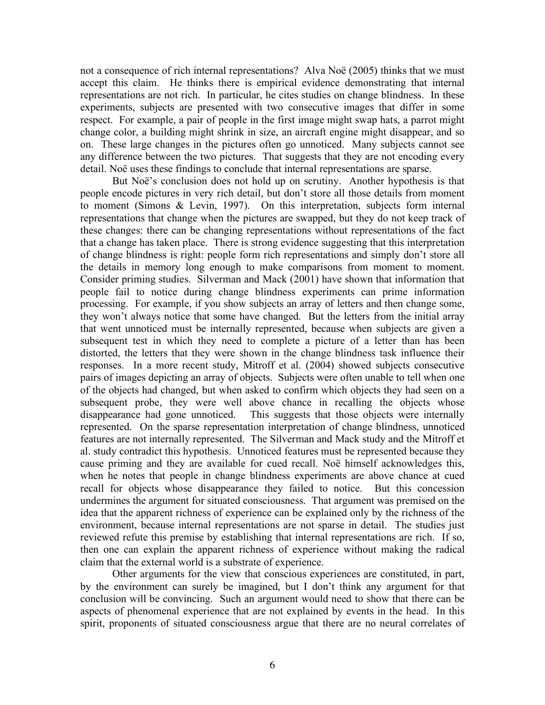not a consequence of rich internal representations? Alva Noë (2005) thinks that we must accept this claim. He thinks there is empirical evidence demonstrating that internal representations are not rich. In particular, he cites studies on change blindness. In these experiments, subjects are presented with two consecutive images that differ in some respect. For example, a pair of people in the first image might swap hats, a parrot might change color, a building might shrink in size, an aircraft engine might disappear, and so on. These large changes in the pictures often go unnoticed. Many subjects cannot see any difference between the two pictures. That suggests that they are not encoding every detail. Noë uses these findings to conclude that internal representations are sparse.

But Noë's conclusion does not hold up on scrutiny. Another hypothesis is that people encode pictures in very rich detail, but don't store all those details from moment to moment (Simons & Levin, 1997). On this interpretation, subjects form internal representations that change when the pictures are swapped, but they do not keep track of these changes: there can be changing representations without representations of the fact that a change has taken place. There is strong evidence suggesting that this interpretation of change blindness is right: people form rich representations and simply don't store all the details in memory long enough to make comparisons from moment to moment. Consider priming studies. Silverman and Mack (2001) have shown that information that people fail to notice during change blindness experiments can prime information processing. For example, if you show subjects an array of letters and then change some, they won't always notice that some have changed. But the letters from the initial array that went unnoticed must be internally represented, because when subjects are given a subsequent test in which they need to complete a picture of a letter than has been distorted, the letters that they were shown in the change blindness task influence their responses. In a more recent study, Mitroff et al. (2004) showed subjects consecutive pairs of images depicting an array of objects. Subjects were often unable to tell when one of the objects had changed, but when asked to confirm which objects they had seen on a subsequent probe, they were well above chance in recalling the objects whose disappearance had gone unnoticed. This suggests that those objects were internally represented. On the sparse representation interpretation of change blindness, unnoticed features are not internally represented. The Silverman and Mack study and the Mitroff et al. study contradict this hypothesis. Unnoticed features must be represented because they cause priming and they are available for cued recall. Noë himself acknowledges this, when he notes that people in change blindness experiments are above chance at cued recall for objects whose disappearance they failed to notice. But this concession undermines the argument for situated consciousness. That argument was premised on the idea that the apparent richness of experience can be explained only by the richness of the environment, because internal representations are not sparse in detail. The studies just reviewed refute this premise by establishing that internal representations are rich. If so, then one can explain the apparent richness of experience without making the radical claim that the external world is a substrate of experience.

Other arguments for the view that conscious experiences are constituted, in part, by the environment can surely be imagined, but I don't think any argument for that conclusion will be convincing. Such an argument would need to show that there can be aspects of phenomenal experience that are not explained by events in the head. In this spirit, proponents of situated consciousness argue that there are no neural correlates of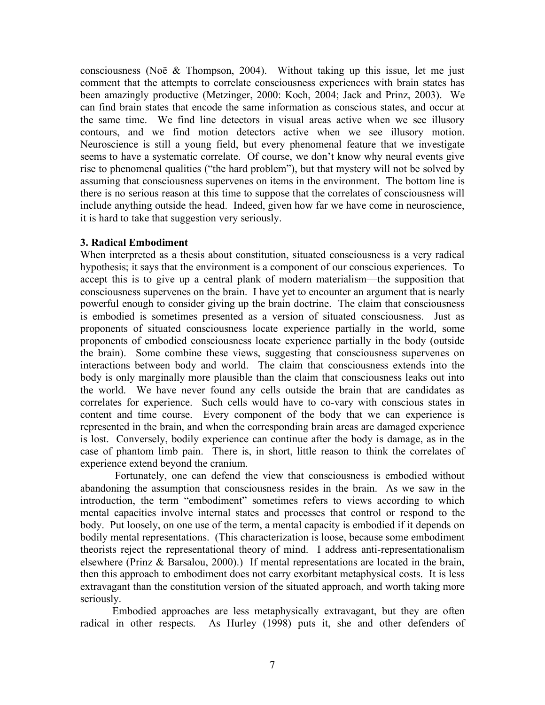consciousness (Noë & Thompson, 2004). Without taking up this issue, let me just comment that the attempts to correlate consciousness experiences with brain states has been amazingly productive (Metzinger, 2000: Koch, 2004; Jack and Prinz, 2003). We can find brain states that encode the same information as conscious states, and occur at the same time. We find line detectors in visual areas active when we see illusory contours, and we find motion detectors active when we see illusory motion. Neuroscience is still a young field, but every phenomenal feature that we investigate seems to have a systematic correlate. Of course, we don't know why neural events give rise to phenomenal qualities ("the hard problem"), but that mystery will not be solved by assuming that consciousness supervenes on items in the environment. The bottom line is there is no serious reason at this time to suppose that the correlates of consciousness will include anything outside the head. Indeed, given how far we have come in neuroscience, it is hard to take that suggestion very seriously.

# **3. Radical Embodiment**

When interpreted as a thesis about constitution, situated consciousness is a very radical hypothesis; it says that the environment is a component of our conscious experiences. To accept this is to give up a central plank of modern materialism—the supposition that consciousness supervenes on the brain. I have yet to encounter an argument that is nearly powerful enough to consider giving up the brain doctrine. The claim that consciousness is embodied is sometimes presented as a version of situated consciousness. Just as proponents of situated consciousness locate experience partially in the world, some proponents of embodied consciousness locate experience partially in the body (outside the brain). Some combine these views, suggesting that consciousness supervenes on interactions between body and world. The claim that consciousness extends into the body is only marginally more plausible than the claim that consciousness leaks out into the world. We have never found any cells outside the brain that are candidates as correlates for experience. Such cells would have to co-vary with conscious states in content and time course. Every component of the body that we can experience is represented in the brain, and when the corresponding brain areas are damaged experience is lost. Conversely, bodily experience can continue after the body is damage, as in the case of phantom limb pain. There is, in short, little reason to think the correlates of experience extend beyond the cranium.

Fortunately, one can defend the view that consciousness is embodied without abandoning the assumption that consciousness resides in the brain. As we saw in the introduction, the term "embodiment" sometimes refers to views according to which mental capacities involve internal states and processes that control or respond to the body. Put loosely, on one use of the term, a mental capacity is embodied if it depends on bodily mental representations. (This characterization is loose, because some embodiment theorists reject the representational theory of mind. I address anti-representationalism elsewhere (Prinz & Barsalou, 2000).) If mental representations are located in the brain, then this approach to embodiment does not carry exorbitant metaphysical costs. It is less extravagant than the constitution version of the situated approach, and worth taking more seriously.

Embodied approaches are less metaphysically extravagant, but they are often radical in other respects. As Hurley (1998) puts it, she and other defenders of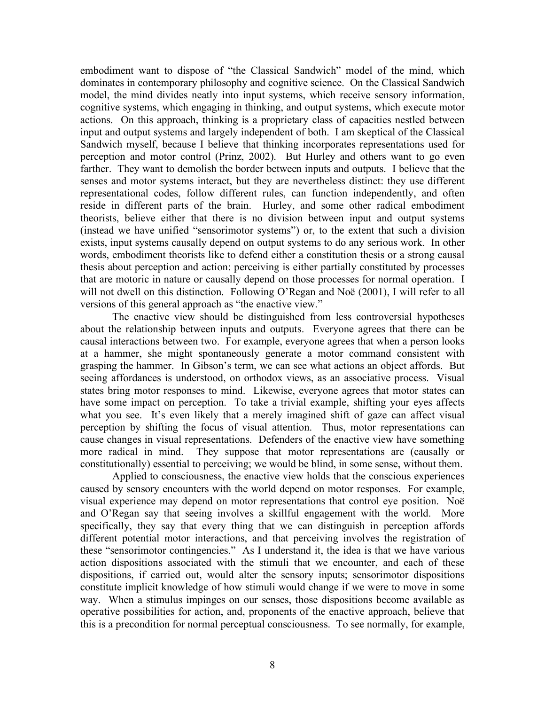embodiment want to dispose of "the Classical Sandwich" model of the mind, which dominates in contemporary philosophy and cognitive science. On the Classical Sandwich model, the mind divides neatly into input systems, which receive sensory information, cognitive systems, which engaging in thinking, and output systems, which execute motor actions. On this approach, thinking is a proprietary class of capacities nestled between input and output systems and largely independent of both. I am skeptical of the Classical Sandwich myself, because I believe that thinking incorporates representations used for perception and motor control (Prinz, 2002). But Hurley and others want to go even farther. They want to demolish the border between inputs and outputs. I believe that the senses and motor systems interact, but they are nevertheless distinct: they use different representational codes, follow different rules, can function independently, and often reside in different parts of the brain. Hurley, and some other radical embodiment theorists, believe either that there is no division between input and output systems (instead we have unified "sensorimotor systems") or, to the extent that such a division exists, input systems causally depend on output systems to do any serious work. In other words, embodiment theorists like to defend either a constitution thesis or a strong causal thesis about perception and action: perceiving is either partially constituted by processes that are motoric in nature or causally depend on those processes for normal operation. I will not dwell on this distinction. Following O'Regan and Noë (2001), I will refer to all versions of this general approach as "the enactive view."

The enactive view should be distinguished from less controversial hypotheses about the relationship between inputs and outputs. Everyone agrees that there can be causal interactions between two. For example, everyone agrees that when a person looks at a hammer, she might spontaneously generate a motor command consistent with grasping the hammer. In Gibson's term, we can see what actions an object affords. But seeing affordances is understood, on orthodox views, as an associative process. Visual states bring motor responses to mind. Likewise, everyone agrees that motor states can have some impact on perception. To take a trivial example, shifting your eyes affects what you see. It's even likely that a merely imagined shift of gaze can affect visual perception by shifting the focus of visual attention. Thus, motor representations can cause changes in visual representations. Defenders of the enactive view have something more radical in mind. They suppose that motor representations are (causally or constitutionally) essential to perceiving; we would be blind, in some sense, without them.

Applied to consciousness, the enactive view holds that the conscious experiences caused by sensory encounters with the world depend on motor responses. For example, visual experience may depend on motor representations that control eye position. Noë and O'Regan say that seeing involves a skillful engagement with the world. More specifically, they say that every thing that we can distinguish in perception affords different potential motor interactions, and that perceiving involves the registration of these "sensorimotor contingencies." As I understand it, the idea is that we have various action dispositions associated with the stimuli that we encounter, and each of these dispositions, if carried out, would alter the sensory inputs; sensorimotor dispositions constitute implicit knowledge of how stimuli would change if we were to move in some way. When a stimulus impinges on our senses, those dispositions become available as operative possibilities for action, and, proponents of the enactive approach, believe that this is a precondition for normal perceptual consciousness. To see normally, for example,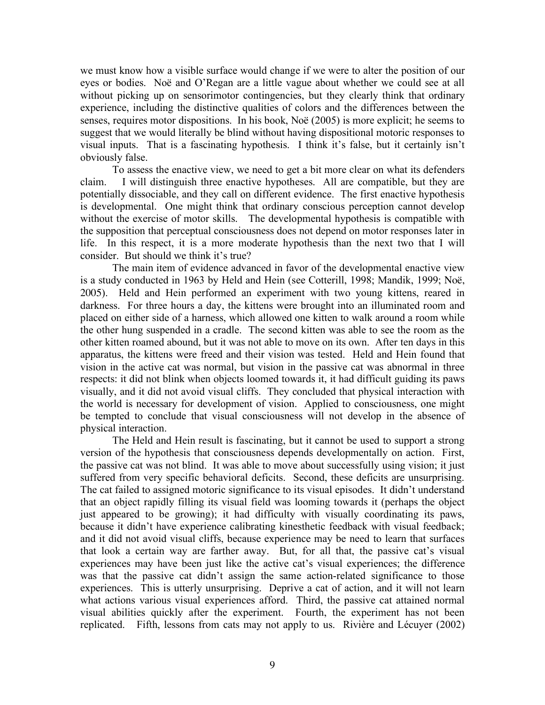we must know how a visible surface would change if we were to alter the position of our eyes or bodies. Noë and O'Regan are a little vague about whether we could see at all without picking up on sensorimotor contingencies, but they clearly think that ordinary experience, including the distinctive qualities of colors and the differences between the senses, requires motor dispositions. In his book, Noë (2005) is more explicit; he seems to suggest that we would literally be blind without having dispositional motoric responses to visual inputs. That is a fascinating hypothesis. I think it's false, but it certainly isn't obviously false.

To assess the enactive view, we need to get a bit more clear on what its defenders claim. I will distinguish three enactive hypotheses. All are compatible, but they are potentially dissociable, and they call on different evidence. The first enactive hypothesis is developmental. One might think that ordinary conscious perception cannot develop without the exercise of motor skills. The developmental hypothesis is compatible with the supposition that perceptual consciousness does not depend on motor responses later in life. In this respect, it is a more moderate hypothesis than the next two that I will consider. But should we think it's true?

The main item of evidence advanced in favor of the developmental enactive view is a study conducted in 1963 by Held and Hein (see Cotterill, 1998; Mandik, 1999; Noë, 2005). Held and Hein performed an experiment with two young kittens, reared in darkness. For three hours a day, the kittens were brought into an illuminated room and placed on either side of a harness, which allowed one kitten to walk around a room while the other hung suspended in a cradle. The second kitten was able to see the room as the other kitten roamed abound, but it was not able to move on its own. After ten days in this apparatus, the kittens were freed and their vision was tested. Held and Hein found that vision in the active cat was normal, but vision in the passive cat was abnormal in three respects: it did not blink when objects loomed towards it, it had difficult guiding its paws visually, and it did not avoid visual cliffs. They concluded that physical interaction with the world is necessary for development of vision. Applied to consciousness, one might be tempted to conclude that visual consciousness will not develop in the absence of physical interaction.

The Held and Hein result is fascinating, but it cannot be used to support a strong version of the hypothesis that consciousness depends developmentally on action. First, the passive cat was not blind. It was able to move about successfully using vision; it just suffered from very specific behavioral deficits. Second, these deficits are unsurprising. The cat failed to assigned motoric significance to its visual episodes. It didn't understand that an object rapidly filling its visual field was looming towards it (perhaps the object just appeared to be growing); it had difficulty with visually coordinating its paws, because it didn't have experience calibrating kinesthetic feedback with visual feedback; and it did not avoid visual cliffs, because experience may be need to learn that surfaces that look a certain way are farther away. But, for all that, the passive cat's visual experiences may have been just like the active cat's visual experiences; the difference was that the passive cat didn't assign the same action-related significance to those experiences. This is utterly unsurprising. Deprive a cat of action, and it will not learn what actions various visual experiences afford. Third, the passive cat attained normal visual abilities quickly after the experiment. Fourth, the experiment has not been replicated. Fifth, lessons from cats may not apply to us. Rivière and Lécuyer (2002)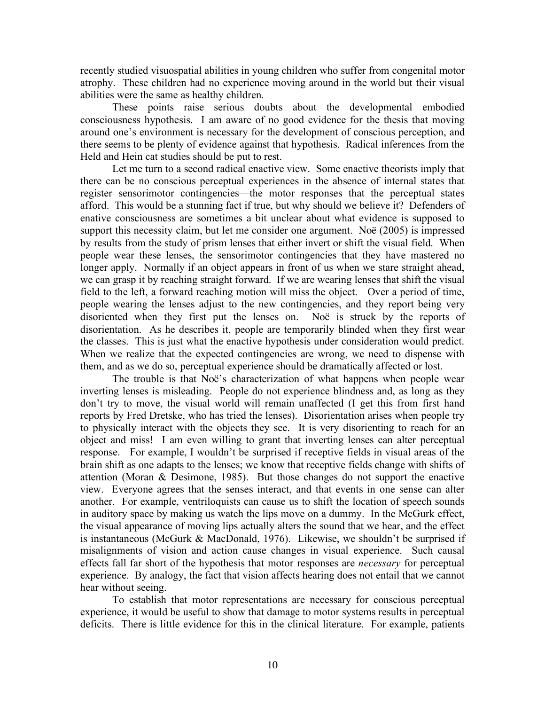recently studied visuospatial abilities in young children who suffer from congenital motor atrophy. These children had no experience moving around in the world but their visual abilities were the same as healthy children.

These points raise serious doubts about the developmental embodied consciousness hypothesis. I am aware of no good evidence for the thesis that moving around one's environment is necessary for the development of conscious perception, and there seems to be plenty of evidence against that hypothesis. Radical inferences from the Held and Hein cat studies should be put to rest.

Let me turn to a second radical enactive view. Some enactive theorists imply that there can be no conscious perceptual experiences in the absence of internal states that register sensorimotor contingencies—the motor responses that the perceptual states afford. This would be a stunning fact if true, but why should we believe it? Defenders of enative consciousness are sometimes a bit unclear about what evidence is supposed to support this necessity claim, but let me consider one argument. Noë (2005) is impressed by results from the study of prism lenses that either invert or shift the visual field. When people wear these lenses, the sensorimotor contingencies that they have mastered no longer apply. Normally if an object appears in front of us when we stare straight ahead, we can grasp it by reaching straight forward. If we are wearing lenses that shift the visual field to the left, a forward reaching motion will miss the object. Over a period of time, people wearing the lenses adjust to the new contingencies, and they report being very disoriented when they first put the lenses on. Noë is struck by the reports of disorientation. As he describes it, people are temporarily blinded when they first wear the classes. This is just what the enactive hypothesis under consideration would predict. When we realize that the expected contingencies are wrong, we need to dispense with them, and as we do so, perceptual experience should be dramatically affected or lost.

The trouble is that Noë's characterization of what happens when people wear inverting lenses is misleading. People do not experience blindness and, as long as they don't try to move, the visual world will remain unaffected (I get this from first hand reports by Fred Dretske, who has tried the lenses). Disorientation arises when people try to physically interact with the objects they see. It is very disorienting to reach for an object and miss! I am even willing to grant that inverting lenses can alter perceptual response. For example, I wouldn't be surprised if receptive fields in visual areas of the brain shift as one adapts to the lenses; we know that receptive fields change with shifts of attention (Moran & Desimone, 1985). But those changes do not support the enactive view. Everyone agrees that the senses interact, and that events in one sense can alter another. For example, ventriloquists can cause us to shift the location of speech sounds in auditory space by making us watch the lips move on a dummy. In the McGurk effect, the visual appearance of moving lips actually alters the sound that we hear, and the effect is instantaneous (McGurk & MacDonald, 1976). Likewise, we shouldn't be surprised if misalignments of vision and action cause changes in visual experience. Such causal effects fall far short of the hypothesis that motor responses are *necessary* for perceptual experience. By analogy, the fact that vision affects hearing does not entail that we cannot hear without seeing.

To establish that motor representations are necessary for conscious perceptual experience, it would be useful to show that damage to motor systems results in perceptual deficits. There is little evidence for this in the clinical literature. For example, patients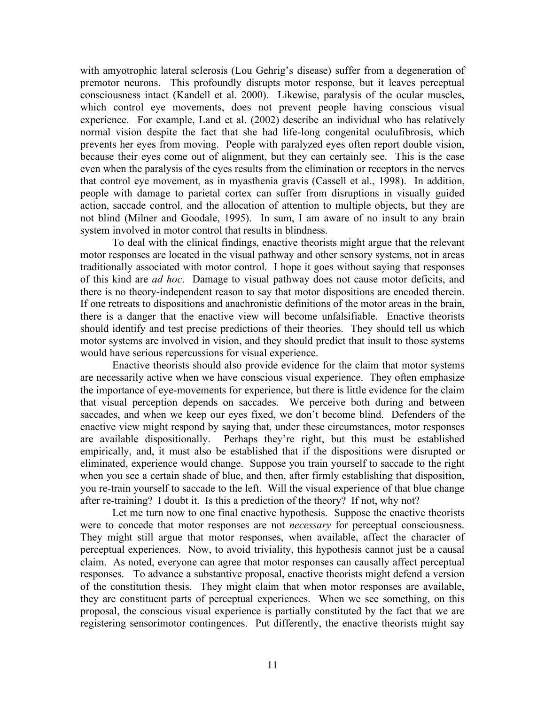with amyotrophic lateral sclerosis (Lou Gehrig's disease) suffer from a degeneration of premotor neurons. This profoundly disrupts motor response, but it leaves perceptual consciousness intact (Kandell et al. 2000). Likewise, paralysis of the ocular muscles, which control eye movements, does not prevent people having conscious visual experience. For example, Land et al. (2002) describe an individual who has relatively normal vision despite the fact that she had life-long congenital oculufibrosis, which prevents her eyes from moving. People with paralyzed eyes often report double vision, because their eyes come out of alignment, but they can certainly see. This is the case even when the paralysis of the eyes results from the elimination or receptors in the nerves that control eye movement, as in myasthenia gravis (Cassell et al., 1998). In addition, people with damage to parietal cortex can suffer from disruptions in visually guided action, saccade control, and the allocation of attention to multiple objects, but they are not blind (Milner and Goodale, 1995). In sum, I am aware of no insult to any brain system involved in motor control that results in blindness.

To deal with the clinical findings, enactive theorists might argue that the relevant motor responses are located in the visual pathway and other sensory systems, not in areas traditionally associated with motor control. I hope it goes without saying that responses of this kind are *ad hoc*. Damage to visual pathway does not cause motor deficits, and there is no theory-independent reason to say that motor dispositions are encoded therein. If one retreats to dispositions and anachronistic definitions of the motor areas in the brain, there is a danger that the enactive view will become unfalsifiable. Enactive theorists should identify and test precise predictions of their theories. They should tell us which motor systems are involved in vision, and they should predict that insult to those systems would have serious repercussions for visual experience.

Enactive theorists should also provide evidence for the claim that motor systems are necessarily active when we have conscious visual experience. They often emphasize the importance of eye-movements for experience, but there is little evidence for the claim that visual perception depends on saccades. We perceive both during and between saccades, and when we keep our eyes fixed, we don't become blind. Defenders of the enactive view might respond by saying that, under these circumstances, motor responses are available dispositionally. Perhaps they're right, but this must be established empirically, and, it must also be established that if the dispositions were disrupted or eliminated, experience would change. Suppose you train yourself to saccade to the right when you see a certain shade of blue, and then, after firmly establishing that disposition, you re-train yourself to saccade to the left. Will the visual experience of that blue change after re-training? I doubt it. Is this a prediction of the theory? If not, why not?

Let me turn now to one final enactive hypothesis. Suppose the enactive theorists were to concede that motor responses are not *necessary* for perceptual consciousness. They might still argue that motor responses, when available, affect the character of perceptual experiences. Now, to avoid triviality, this hypothesis cannot just be a causal claim. As noted, everyone can agree that motor responses can causally affect perceptual responses. To advance a substantive proposal, enactive theorists might defend a version of the constitution thesis. They might claim that when motor responses are available, they are constituent parts of perceptual experiences. When we see something, on this proposal, the conscious visual experience is partially constituted by the fact that we are registering sensorimotor contingences. Put differently, the enactive theorists might say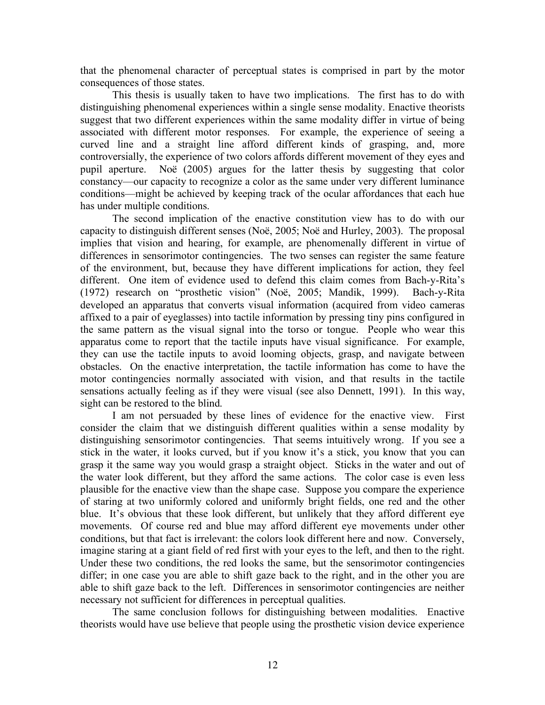that the phenomenal character of perceptual states is comprised in part by the motor consequences of those states.

This thesis is usually taken to have two implications. The first has to do with distinguishing phenomenal experiences within a single sense modality. Enactive theorists suggest that two different experiences within the same modality differ in virtue of being associated with different motor responses. For example, the experience of seeing a curved line and a straight line afford different kinds of grasping, and, more controversially, the experience of two colors affords different movement of they eyes and pupil aperture. Noë (2005) argues for the latter thesis by suggesting that color constancy—our capacity to recognize a color as the same under very different luminance conditions—might be achieved by keeping track of the ocular affordances that each hue has under multiple conditions.

The second implication of the enactive constitution view has to do with our capacity to distinguish different senses (Noë, 2005; Noë and Hurley, 2003). The proposal implies that vision and hearing, for example, are phenomenally different in virtue of differences in sensorimotor contingencies. The two senses can register the same feature of the environment, but, because they have different implications for action, they feel different. One item of evidence used to defend this claim comes from Bach-y-Rita's (1972) research on "prosthetic vision" (Noë, 2005; Mandik, 1999). Bach-y-Rita developed an apparatus that converts visual information (acquired from video cameras affixed to a pair of eyeglasses) into tactile information by pressing tiny pins configured in the same pattern as the visual signal into the torso or tongue. People who wear this apparatus come to report that the tactile inputs have visual significance. For example, they can use the tactile inputs to avoid looming objects, grasp, and navigate between obstacles. On the enactive interpretation, the tactile information has come to have the motor contingencies normally associated with vision, and that results in the tactile sensations actually feeling as if they were visual (see also Dennett, 1991). In this way, sight can be restored to the blind.

I am not persuaded by these lines of evidence for the enactive view. First consider the claim that we distinguish different qualities within a sense modality by distinguishing sensorimotor contingencies. That seems intuitively wrong. If you see a stick in the water, it looks curved, but if you know it's a stick, you know that you can grasp it the same way you would grasp a straight object. Sticks in the water and out of the water look different, but they afford the same actions. The color case is even less plausible for the enactive view than the shape case. Suppose you compare the experience of staring at two uniformly colored and uniformly bright fields, one red and the other blue. It's obvious that these look different, but unlikely that they afford different eye movements. Of course red and blue may afford different eye movements under other conditions, but that fact is irrelevant: the colors look different here and now. Conversely, imagine staring at a giant field of red first with your eyes to the left, and then to the right. Under these two conditions, the red looks the same, but the sensorimotor contingencies differ; in one case you are able to shift gaze back to the right, and in the other you are able to shift gaze back to the left. Differences in sensorimotor contingencies are neither necessary not sufficient for differences in perceptual qualities.

The same conclusion follows for distinguishing between modalities. Enactive theorists would have use believe that people using the prosthetic vision device experience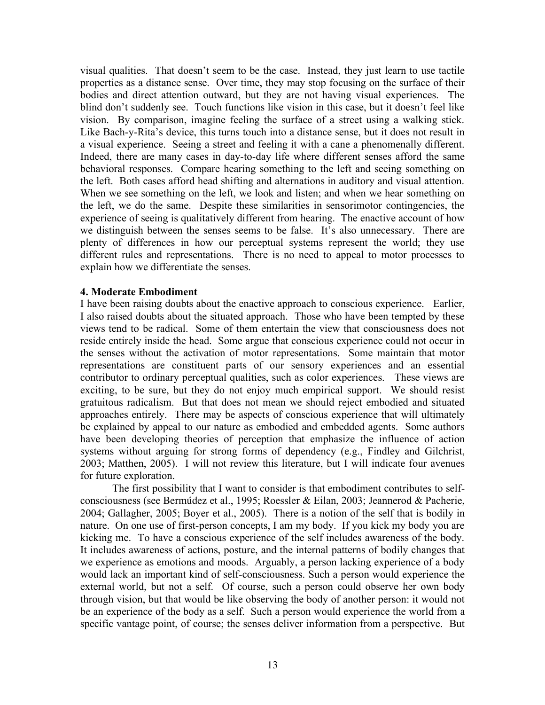visual qualities. That doesn't seem to be the case. Instead, they just learn to use tactile properties as a distance sense. Over time, they may stop focusing on the surface of their bodies and direct attention outward, but they are not having visual experiences. The blind don't suddenly see. Touch functions like vision in this case, but it doesn't feel like vision. By comparison, imagine feeling the surface of a street using a walking stick. Like Bach-y-Rita's device, this turns touch into a distance sense, but it does not result in a visual experience. Seeing a street and feeling it with a cane a phenomenally different. Indeed, there are many cases in day-to-day life where different senses afford the same behavioral responses. Compare hearing something to the left and seeing something on the left. Both cases afford head shifting and alternations in auditory and visual attention. When we see something on the left, we look and listen; and when we hear something on the left, we do the same. Despite these similarities in sensorimotor contingencies, the experience of seeing is qualitatively different from hearing. The enactive account of how we distinguish between the senses seems to be false. It's also unnecessary. There are plenty of differences in how our perceptual systems represent the world; they use different rules and representations. There is no need to appeal to motor processes to explain how we differentiate the senses.

## **4. Moderate Embodiment**

I have been raising doubts about the enactive approach to conscious experience. Earlier, I also raised doubts about the situated approach. Those who have been tempted by these views tend to be radical. Some of them entertain the view that consciousness does not reside entirely inside the head. Some argue that conscious experience could not occur in the senses without the activation of motor representations. Some maintain that motor representations are constituent parts of our sensory experiences and an essential contributor to ordinary perceptual qualities, such as color experiences. These views are exciting, to be sure, but they do not enjoy much empirical support. We should resist gratuitous radicalism. But that does not mean we should reject embodied and situated approaches entirely. There may be aspects of conscious experience that will ultimately be explained by appeal to our nature as embodied and embedded agents. Some authors have been developing theories of perception that emphasize the influence of action systems without arguing for strong forms of dependency (e.g., Findley and Gilchrist, 2003; Matthen, 2005). I will not review this literature, but I will indicate four avenues for future exploration.

The first possibility that I want to consider is that embodiment contributes to selfconsciousness (see Bermúdez et al., 1995; Roessler & Eilan, 2003; Jeannerod & Pacherie, 2004; Gallagher, 2005; Boyer et al., 2005). There is a notion of the self that is bodily in nature. On one use of first-person concepts, I am my body. If you kick my body you are kicking me. To have a conscious experience of the self includes awareness of the body. It includes awareness of actions, posture, and the internal patterns of bodily changes that we experience as emotions and moods. Arguably, a person lacking experience of a body would lack an important kind of self-consciousness. Such a person would experience the external world, but not a self. Of course, such a person could observe her own body through vision, but that would be like observing the body of another person: it would not be an experience of the body as a self. Such a person would experience the world from a specific vantage point, of course; the senses deliver information from a perspective. But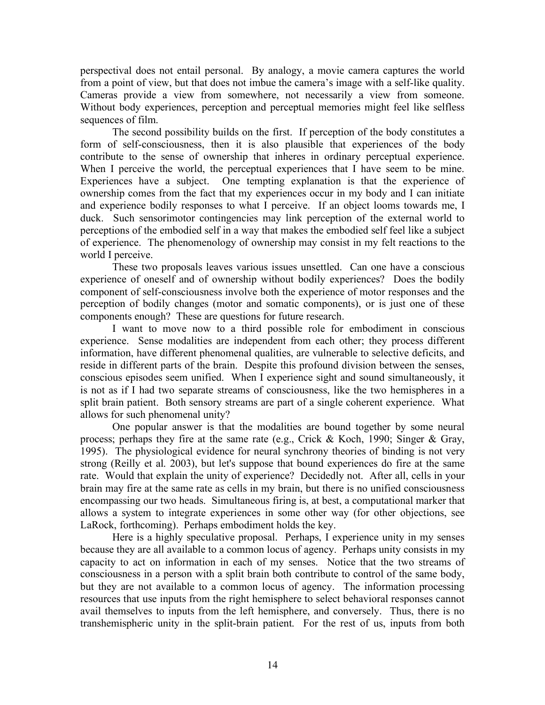perspectival does not entail personal. By analogy, a movie camera captures the world from a point of view, but that does not imbue the camera's image with a self-like quality. Cameras provide a view from somewhere, not necessarily a view from someone. Without body experiences, perception and perceptual memories might feel like selfless sequences of film.

The second possibility builds on the first. If perception of the body constitutes a form of self-consciousness, then it is also plausible that experiences of the body contribute to the sense of ownership that inheres in ordinary perceptual experience. When I perceive the world, the perceptual experiences that I have seem to be mine. Experiences have a subject. One tempting explanation is that the experience of ownership comes from the fact that my experiences occur in my body and I can initiate and experience bodily responses to what I perceive. If an object looms towards me, I duck. Such sensorimotor contingencies may link perception of the external world to perceptions of the embodied self in a way that makes the embodied self feel like a subject of experience. The phenomenology of ownership may consist in my felt reactions to the world I perceive.

These two proposals leaves various issues unsettled. Can one have a conscious experience of oneself and of ownership without bodily experiences? Does the bodily component of self-consciousness involve both the experience of motor responses and the perception of bodily changes (motor and somatic components), or is just one of these components enough? These are questions for future research.

I want to move now to a third possible role for embodiment in conscious experience. Sense modalities are independent from each other; they process different information, have different phenomenal qualities, are vulnerable to selective deficits, and reside in different parts of the brain. Despite this profound division between the senses, conscious episodes seem unified. When I experience sight and sound simultaneously, it is not as if I had two separate streams of consciousness, like the two hemispheres in a split brain patient. Both sensory streams are part of a single coherent experience. What allows for such phenomenal unity?

One popular answer is that the modalities are bound together by some neural process; perhaps they fire at the same rate (e.g., Crick & Koch, 1990; Singer & Gray, 1995). The physiological evidence for neural synchrony theories of binding is not very strong (Reilly et al. 2003), but let's suppose that bound experiences do fire at the same rate. Would that explain the unity of experience? Decidedly not. After all, cells in your brain may fire at the same rate as cells in my brain, but there is no unified consciousness encompassing our two heads. Simultaneous firing is, at best, a computational marker that allows a system to integrate experiences in some other way (for other objections, see LaRock, forthcoming). Perhaps embodiment holds the key.

Here is a highly speculative proposal. Perhaps, I experience unity in my senses because they are all available to a common locus of agency. Perhaps unity consists in my capacity to act on information in each of my senses. Notice that the two streams of consciousness in a person with a split brain both contribute to control of the same body, but they are not available to a common locus of agency. The information processing resources that use inputs from the right hemisphere to select behavioral responses cannot avail themselves to inputs from the left hemisphere, and conversely. Thus, there is no transhemispheric unity in the split-brain patient. For the rest of us, inputs from both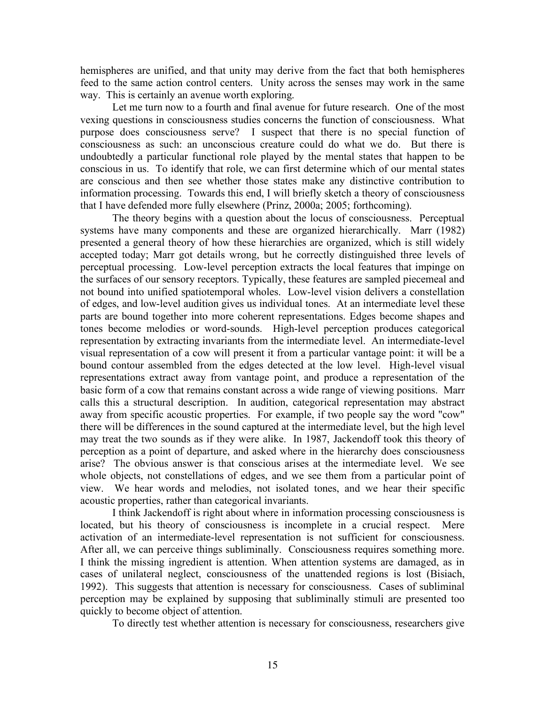hemispheres are unified, and that unity may derive from the fact that both hemispheres feed to the same action control centers. Unity across the senses may work in the same way. This is certainly an avenue worth exploring.

Let me turn now to a fourth and final avenue for future research. One of the most vexing questions in consciousness studies concerns the function of consciousness. What purpose does consciousness serve? I suspect that there is no special function of consciousness as such: an unconscious creature could do what we do. But there is undoubtedly a particular functional role played by the mental states that happen to be conscious in us. To identify that role, we can first determine which of our mental states are conscious and then see whether those states make any distinctive contribution to information processing. Towards this end, I will briefly sketch a theory of consciousness that I have defended more fully elsewhere (Prinz, 2000a; 2005; forthcoming).

The theory begins with a question about the locus of consciousness. Perceptual systems have many components and these are organized hierarchically. Marr (1982) presented a general theory of how these hierarchies are organized, which is still widely accepted today; Marr got details wrong, but he correctly distinguished three levels of perceptual processing. Low-level perception extracts the local features that impinge on the surfaces of our sensory receptors. Typically, these features are sampled piecemeal and not bound into unified spatiotemporal wholes. Low-level vision delivers a constellation of edges, and low-level audition gives us individual tones. At an intermediate level these parts are bound together into more coherent representations. Edges become shapes and tones become melodies or word-sounds. High-level perception produces categorical representation by extracting invariants from the intermediate level. An intermediate-level visual representation of a cow will present it from a particular vantage point: it will be a bound contour assembled from the edges detected at the low level. High-level visual representations extract away from vantage point, and produce a representation of the basic form of a cow that remains constant across a wide range of viewing positions. Marr calls this a structural description. In audition, categorical representation may abstract away from specific acoustic properties. For example, if two people say the word "cow" there will be differences in the sound captured at the intermediate level, but the high level may treat the two sounds as if they were alike. In 1987, Jackendoff took this theory of perception as a point of departure, and asked where in the hierarchy does consciousness arise? The obvious answer is that conscious arises at the intermediate level. We see whole objects, not constellations of edges, and we see them from a particular point of view. We hear words and melodies, not isolated tones, and we hear their specific acoustic properties, rather than categorical invariants.

I think Jackendoff is right about where in information processing consciousness is located, but his theory of consciousness is incomplete in a crucial respect. Mere activation of an intermediate-level representation is not sufficient for consciousness. After all, we can perceive things subliminally. Consciousness requires something more. I think the missing ingredient is attention. When attention systems are damaged, as in cases of unilateral neglect, consciousness of the unattended regions is lost (Bisiach, 1992). This suggests that attention is necessary for consciousness. Cases of subliminal perception may be explained by supposing that subliminally stimuli are presented too quickly to become object of attention.

To directly test whether attention is necessary for consciousness, researchers give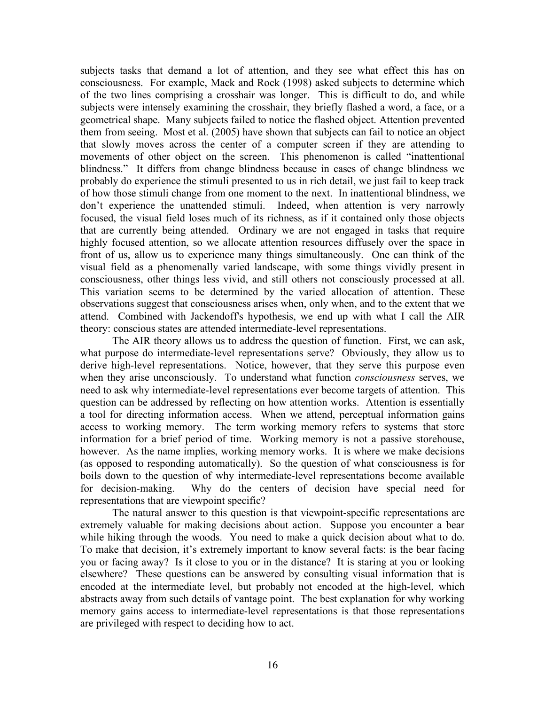subjects tasks that demand a lot of attention, and they see what effect this has on consciousness. For example, Mack and Rock (1998) asked subjects to determine which of the two lines comprising a crosshair was longer. This is difficult to do, and while subjects were intensely examining the crosshair, they briefly flashed a word, a face, or a geometrical shape. Many subjects failed to notice the flashed object. Attention prevented them from seeing. Most et al. (2005) have shown that subjects can fail to notice an object that slowly moves across the center of a computer screen if they are attending to movements of other object on the screen. This phenomenon is called "inattentional blindness." It differs from change blindness because in cases of change blindness we probably do experience the stimuli presented to us in rich detail, we just fail to keep track of how those stimuli change from one moment to the next. In inattentional blindness, we don't experience the unattended stimuli. Indeed, when attention is very narrowly focused, the visual field loses much of its richness, as if it contained only those objects that are currently being attended. Ordinary we are not engaged in tasks that require highly focused attention, so we allocate attention resources diffusely over the space in front of us, allow us to experience many things simultaneously. One can think of the visual field as a phenomenally varied landscape, with some things vividly present in consciousness, other things less vivid, and still others not consciously processed at all. This variation seems to be determined by the varied allocation of attention. These observations suggest that consciousness arises when, only when, and to the extent that we attend. Combined with Jackendoff's hypothesis, we end up with what I call the AIR theory: conscious states are attended intermediate-level representations.

The AIR theory allows us to address the question of function. First, we can ask, what purpose do intermediate-level representations serve? Obviously, they allow us to derive high-level representations. Notice, however, that they serve this purpose even when they arise unconsciously. To understand what function *consciousness* serves, we need to ask why intermediate-level representations ever become targets of attention. This question can be addressed by reflecting on how attention works. Attention is essentially a tool for directing information access. When we attend, perceptual information gains access to working memory. The term working memory refers to systems that store information for a brief period of time. Working memory is not a passive storehouse, however. As the name implies, working memory works. It is where we make decisions (as opposed to responding automatically). So the question of what consciousness is for boils down to the question of why intermediate-level representations become available for decision-making. Why do the centers of decision have special need for representations that are viewpoint specific?

The natural answer to this question is that viewpoint-specific representations are extremely valuable for making decisions about action. Suppose you encounter a bear while hiking through the woods. You need to make a quick decision about what to do. To make that decision, it's extremely important to know several facts: is the bear facing you or facing away? Is it close to you or in the distance? It is staring at you or looking elsewhere? These questions can be answered by consulting visual information that is encoded at the intermediate level, but probably not encoded at the high-level, which abstracts away from such details of vantage point. The best explanation for why working memory gains access to intermediate-level representations is that those representations are privileged with respect to deciding how to act.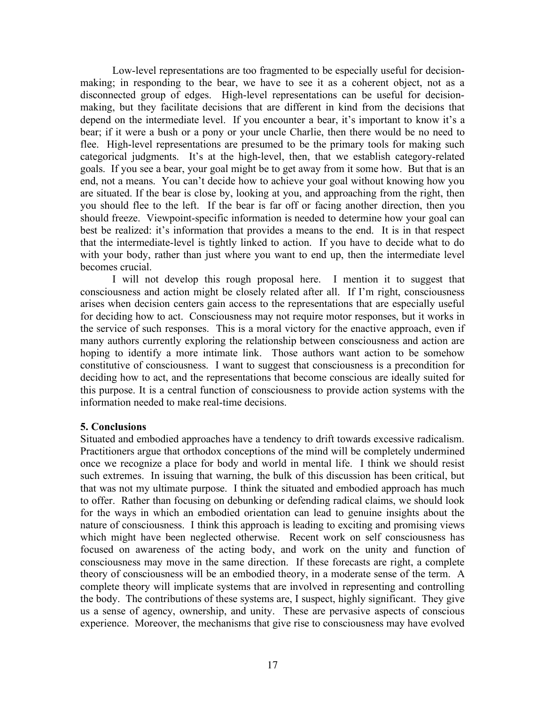Low-level representations are too fragmented to be especially useful for decisionmaking; in responding to the bear, we have to see it as a coherent object, not as a disconnected group of edges. High-level representations can be useful for decisionmaking, but they facilitate decisions that are different in kind from the decisions that depend on the intermediate level. If you encounter a bear, it's important to know it's a bear; if it were a bush or a pony or your uncle Charlie, then there would be no need to flee. High-level representations are presumed to be the primary tools for making such categorical judgments. It's at the high-level, then, that we establish category-related goals. If you see a bear, your goal might be to get away from it some how. But that is an end, not a means. You can't decide how to achieve your goal without knowing how you are situated. If the bear is close by, looking at you, and approaching from the right, then you should flee to the left. If the bear is far off or facing another direction, then you should freeze. Viewpoint-specific information is needed to determine how your goal can best be realized: it's information that provides a means to the end. It is in that respect that the intermediate-level is tightly linked to action. If you have to decide what to do with your body, rather than just where you want to end up, then the intermediate level becomes crucial.

I will not develop this rough proposal here. I mention it to suggest that consciousness and action might be closely related after all. If I'm right, consciousness arises when decision centers gain access to the representations that are especially useful for deciding how to act. Consciousness may not require motor responses, but it works in the service of such responses. This is a moral victory for the enactive approach, even if many authors currently exploring the relationship between consciousness and action are hoping to identify a more intimate link. Those authors want action to be somehow constitutive of consciousness. I want to suggest that consciousness is a precondition for deciding how to act, and the representations that become conscious are ideally suited for this purpose. It is a central function of consciousness to provide action systems with the information needed to make real-time decisions.

# **5. Conclusions**

Situated and embodied approaches have a tendency to drift towards excessive radicalism. Practitioners argue that orthodox conceptions of the mind will be completely undermined once we recognize a place for body and world in mental life. I think we should resist such extremes. In issuing that warning, the bulk of this discussion has been critical, but that was not my ultimate purpose. I think the situated and embodied approach has much to offer. Rather than focusing on debunking or defending radical claims, we should look for the ways in which an embodied orientation can lead to genuine insights about the nature of consciousness. I think this approach is leading to exciting and promising views which might have been neglected otherwise. Recent work on self consciousness has focused on awareness of the acting body, and work on the unity and function of consciousness may move in the same direction. If these forecasts are right, a complete theory of consciousness will be an embodied theory, in a moderate sense of the term. A complete theory will implicate systems that are involved in representing and controlling the body. The contributions of these systems are, I suspect, highly significant. They give us a sense of agency, ownership, and unity. These are pervasive aspects of conscious experience. Moreover, the mechanisms that give rise to consciousness may have evolved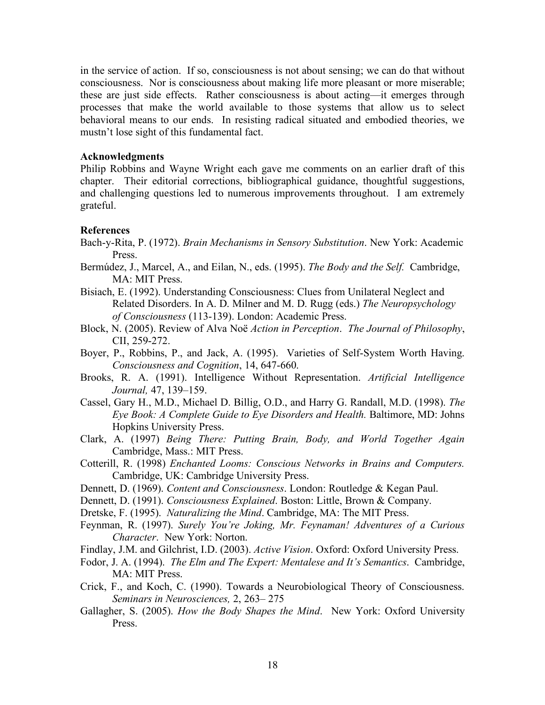in the service of action. If so, consciousness is not about sensing; we can do that without consciousness. Nor is consciousness about making life more pleasant or more miserable; these are just side effects. Rather consciousness is about acting—it emerges through processes that make the world available to those systems that allow us to select behavioral means to our ends. In resisting radical situated and embodied theories, we mustn't lose sight of this fundamental fact.

#### **Acknowledgments**

Philip Robbins and Wayne Wright each gave me comments on an earlier draft of this chapter. Their editorial corrections, bibliographical guidance, thoughtful suggestions, and challenging questions led to numerous improvements throughout. I am extremely grateful.

## **References**

- Bach-y-Rita, P. (1972). *Brain Mechanisms in Sensory Substitution*. New York: Academic Press.
- Bermúdez, J., Marcel, A., and Eilan, N., eds. (1995). *The Body and the Self.* Cambridge, MA: MIT Press.
- Bisiach, E. (1992). Understanding Consciousness: Clues from Unilateral Neglect and Related Disorders. In A. D. Milner and M. D. Rugg (eds.) *The Neuropsychology of Consciousness* (113-139). London: Academic Press.
- Block, N. (2005). Review of Alva Noë *Action in Perception*. *The Journal of Philosophy*, CII, 259-272.
- Boyer, P., Robbins, P., and Jack, A. (1995). Varieties of Self-System Worth Having. *Consciousness and Cognition*, 14, 647-660.
- Brooks, R. A. (1991). Intelligence Without Representation. *Artificial Intelligence Journal,* 47, 139–159.
- Cassel, Gary H., M.D., Michael D. Billig, O.D., and Harry G. Randall, M.D. (1998). *The Eye Book: A Complete Guide to Eye Disorders and Health.* Baltimore, MD: Johns Hopkins University Press.
- Clark, A. (1997) *Being There: Putting Brain, Body, and World Together Again* Cambridge, Mass.: MIT Press.
- Cotterill, R. (1998) *Enchanted Looms: Conscious Networks in Brains and Computers.* Cambridge, UK: Cambridge University Press.
- Dennett, D. (1969). *Content and Consciousness*. London: Routledge & Kegan Paul.
- Dennett, D. (1991). *Consciousness Explained*. Boston: Little, Brown & Company.
- Dretske, F. (1995). *Naturalizing the Mind*. Cambridge, MA: The MIT Press.
- Feynman, R. (1997). *Surely You're Joking, Mr. Feynaman! Adventures of a Curious Character*. New York: Norton.
- Findlay, J.M. and Gilchrist, I.D. (2003). *Active Vision*. Oxford: Oxford University Press.
- Fodor, J. A. (1994). *The Elm and The Expert: Mentalese and It's Semantics*. Cambridge, MA: MIT Press.
- Crick, F., and Koch, C. (1990). Towards a Neurobiological Theory of Consciousness. *Seminars in Neurosciences,* 2, 263– 275
- Gallagher, S. (2005). *How the Body Shapes the Mind*. New York: Oxford University Press.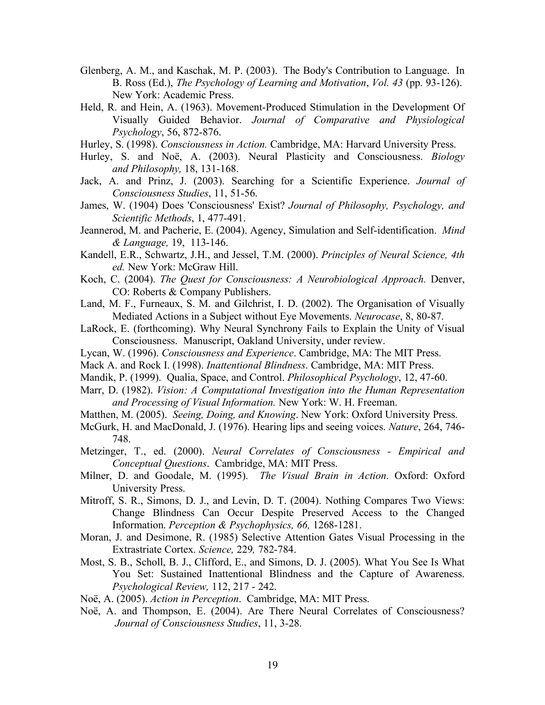- Glenberg, A. M., and Kaschak, M. P. (2003). The Body's Contribution to Language. In B. Ross (Ed.), *The Psychology of Learning and Motivation*, *Vol. 43* (pp. 93-126). New York: Academic Press.
- Held, R. and Hein, A. (1963). Movement-Produced Stimulation in the Development Of Visually Guided Behavior. *Journal of Comparative and Physiological Psychology*, 56, 872-876.
- Hurley, S. (1998). *Consciousness in Action.* Cambridge, MA: Harvard University Press.
- Hurley, S. and Noë, A. (2003). Neural Plasticity and Consciousness. *Biology and Philosophy,* 18, 131-168.
- Jack, A. and Prinz, J. (2003). Searching for a Scientific Experience. *Journal of Consciousness Studies*, 11, 51-56.
- James, W. (1904) Does 'Consciousness' Exist? *Journal of Philosophy, Psychology, and Scientific Methods*, 1, 477-491.
- Jeannerod, M. and Pacherie, E. (2004). Agency, Simulation and Self-identification. *Mind & Language,* 19, 113-146.
- Kandell, E.R., Schwartz, J.H., and Jessel, T.M. (2000). *Principles of Neural Science, 4th ed.* New York: McGraw Hill.
- Koch, C. (2004). *The Quest for Consciousness: A Neurobiological Approach.* Denver, CO: Roberts & Company Publishers.
- Land, M. F., Furneaux, S. M. and Gilchrist, I. D. (2002). The Organisation of Visually Mediated Actions in a Subject without Eye Movements. *Neurocase*, 8, 80-87.
- LaRock, E. (forthcoming). Why Neural Synchrony Fails to Explain the Unity of Visual Consciousness. Manuscript, Oakland University, under review.
- Lycan, W. (1996). *Consciousness and Experience*. Cambridge, MA: The MIT Press.
- Mack A. and Rock I. (1998). *Inattentional Blindness*. Cambridge, MA: MIT Press.
- Mandik, P. (1999). Qualia, Space, and Control. *Philosophical Psychology*, 12, 47-60.
- Marr, D. (1982). *Vision: A Computational Investigation into the Human Representation and Processing of Visual Information.* New York: W. H. Freeman.
- Matthen, M. (2005). *Seeing, Doing, and Knowing*. New York: Oxford University Press.
- McGurk, H. and MacDonald, J. (1976). Hearing lips and seeing voices. *Nature*, 264, 746- 748.
- Metzinger, T., ed. (2000). *Neural Correlates of Consciousness - Empirical and Conceptual Questions*. Cambridge, MA: MIT Press.
- Milner, D. and Goodale, M. (1995). *The Visual Brain in Action*. Oxford: Oxford University Press.
- Mitroff, S. R., Simons, D. J., and Levin, D. T. (2004). Nothing Compares Two Views: Change Blindness Can Occur Despite Preserved Access to the Changed Information. *Perception & Psychophysics, 66,* 1268-1281.
- Moran, J. and Desimone, R. (1985) Selective Attention Gates Visual Processing in the Extrastriate Cortex. *Science,* 229*,* 782-784.
- Most, S. B., Scholl, B. J., Clifford, E., and Simons, D. J. (2005). What You See Is What You Set: Sustained Inattentional Blindness and the Capture of Awareness. *Psychological Review,* 112, 217 - 242.
- Noë, A. (2005). *Action in Perception*. Cambridge, MA: MIT Press.
- Noë, A. and Thompson, E. (2004). Are There Neural Correlates of Consciousness? *Journal of Consciousness Studies*, 11, 3-28. –